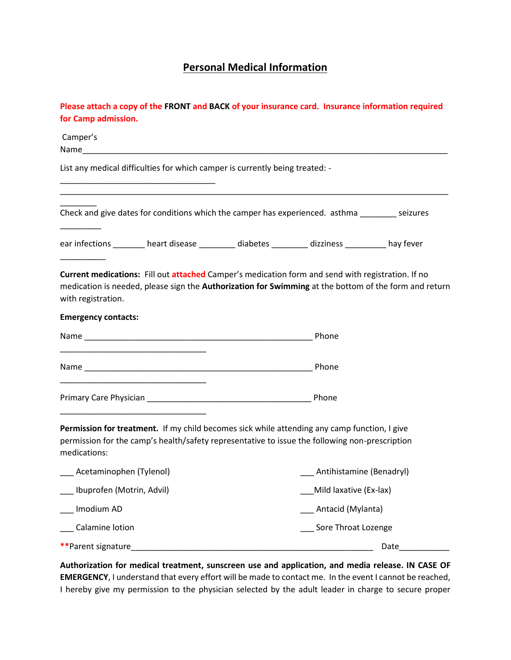## **Personal Medical Information**

| for Camp admission.         | Please attach a copy of the FRONT and BACK of your insurance card. Insurance information required                                                                                                                              |                              |      |
|-----------------------------|--------------------------------------------------------------------------------------------------------------------------------------------------------------------------------------------------------------------------------|------------------------------|------|
| Camper's                    | Name and the contract of the contract of the contract of the contract of the contract of the contract of the contract of the contract of the contract of the contract of the contract of the contract of the contract of the c |                              |      |
|                             | List any medical difficulties for which camper is currently being treated: -                                                                                                                                                   |                              |      |
|                             | Check and give dates for conditions which the camper has experienced. asthma seizures                                                                                                                                          |                              |      |
|                             | ear infections ________ heart disease ________ diabetes ________ dizziness ________ hay fever                                                                                                                                  |                              |      |
| with registration.          | Current medications: Fill out attached Camper's medication form and send with registration. If no<br>medication is needed, please sign the Authorization for Swimming at the bottom of the form and return                     |                              |      |
| <b>Emergency contacts:</b>  |                                                                                                                                                                                                                                |                              |      |
|                             |                                                                                                                                                                                                                                | Phone                        |      |
|                             |                                                                                                                                                                                                                                | Phone                        |      |
|                             |                                                                                                                                                                                                                                | Phone                        |      |
| medications:                | Permission for treatment. If my child becomes sick while attending any camp function, I give<br>permission for the camp's health/safety representative to issue the following non-prescription                                 |                              |      |
| ___ Acetaminophen (Tylenol) |                                                                                                                                                                                                                                | ___ Antihistamine (Benadryl) |      |
| Ibuprofen (Motrin, Advil)   |                                                                                                                                                                                                                                | Mild laxative (Ex-lax)       |      |
| Imodium AD                  |                                                                                                                                                                                                                                | Antacid (Mylanta)            |      |
| Calamine lotion             |                                                                                                                                                                                                                                | Sore Throat Lozenge          |      |
| **Parent signature          |                                                                                                                                                                                                                                |                              | Date |

**Authorization for medical treatment, sunscreen use and application, and media release. IN CASE OF EMERGENCY**, I understand that every effort will be made to contact me. In the event I cannot be reached, I hereby give my permission to the physician selected by the adult leader in charge to secure proper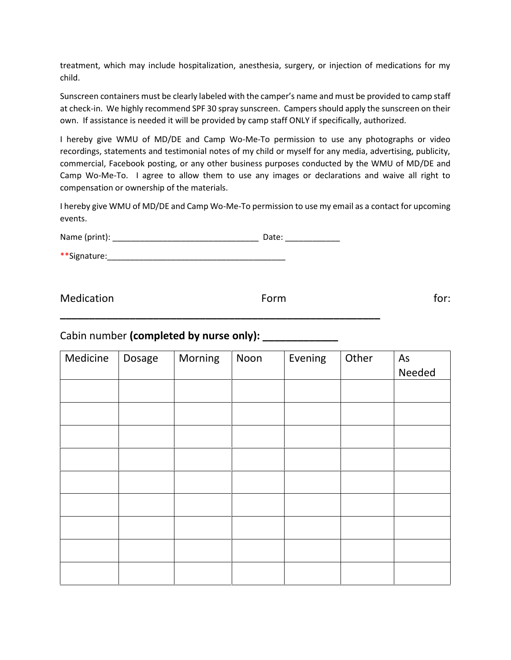treatment, which may include hospitalization, anesthesia, surgery, or injection of medications for my child.

Sunscreen containers must be clearly labeled with the camper's name and must be provided to camp staff at check-in. We highly recommend SPF 30 spray sunscreen. Campers should apply the sunscreen on their own. If assistance is needed it will be provided by camp staff ONLY if specifically, authorized.

I hereby give WMU of MD/DE and Camp Wo-Me-To permission to use any photographs or video recordings, statements and testimonial notes of my child or myself for any media, advertising, publicity, commercial, Facebook posting, or any other business purposes conducted by the WMU of MD/DE and Camp Wo-Me-To. I agree to allow them to use any images or declarations and waive all right to compensation or ownership of the materials.

I hereby give WMU of MD/DE and Camp Wo-Me-To permission to use my email as a contact for upcoming events.

Name (print): \_\_\_\_\_\_\_\_\_\_\_\_\_\_\_\_\_\_\_\_\_\_\_\_\_\_\_\_\_\_\_\_ Date: \_\_\_\_\_\_\_\_\_\_\_\_

\*\*Signature:\_\_\_\_\_\_\_\_\_\_\_\_\_\_\_\_\_\_\_\_\_\_\_\_\_\_\_\_\_\_\_\_\_\_\_\_\_\_\_

Medication and the set of the Form of the set of the set of the set of the set of the set of the set of the set of the set of the set of the set of the set of the set of the set of the set of the set of the set of the set

**\_\_\_\_\_\_\_\_\_\_\_\_\_\_\_\_\_\_\_\_\_\_\_\_\_\_\_\_\_\_\_\_\_\_\_\_\_\_\_\_\_\_\_\_\_\_\_\_\_\_\_\_\_\_\_**

## Cabin number **(completed by nurse only): \_\_\_\_\_\_\_\_\_\_\_\_\_**

| Medicine | Dosage | Morning | Noon | Evening | Other | As<br>Needed |
|----------|--------|---------|------|---------|-------|--------------|
|          |        |         |      |         |       |              |
|          |        |         |      |         |       |              |
|          |        |         |      |         |       |              |
|          |        |         |      |         |       |              |
|          |        |         |      |         |       |              |
|          |        |         |      |         |       |              |
|          |        |         |      |         |       |              |
|          |        |         |      |         |       |              |
|          |        |         |      |         |       |              |